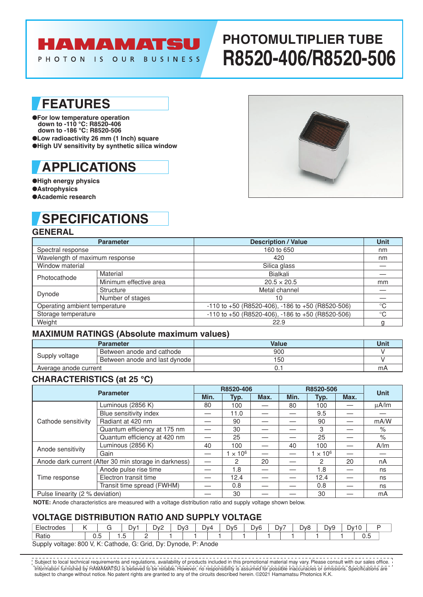## HAMAMATSU

PHOTON IS OUR BUSINESS

# **PHOTOMULTIPLIER TUBE R8520-406/R8520-506**

### **FEATURES**

●**For low temperature operation down to -110 °C: R8520-406 down to -186 °C: R8520-506** ●**Low radioactivity 26 mm (1 Inch) square** ●**High UV sensitivity by synthetic silica window**

## **APPLICATIONS**

●**High energy physics** ●**Astrophysics** ●**Academic research**

### **SPECIFICATIONS**

### **GENERAL**

|                                | <b>Parameter</b>       | <b>Description / Value</b>                               | <b>Unit</b> |  |  |  |  |  |
|--------------------------------|------------------------|----------------------------------------------------------|-------------|--|--|--|--|--|
| Spectral response              |                        | 160 to 650                                               | nm          |  |  |  |  |  |
| Wavelength of maximum response |                        | 420                                                      | nm          |  |  |  |  |  |
| Window material                |                        | Silica glass                                             |             |  |  |  |  |  |
| Photocathode                   | Material               | Bialkali                                                 |             |  |  |  |  |  |
|                                | Minimum effective area | $20.5 \times 20.5$                                       | mm          |  |  |  |  |  |
|                                | Structure              | Metal channel                                            |             |  |  |  |  |  |
| Dynode                         | Number of stages       | 10                                                       |             |  |  |  |  |  |
| Operating ambient temperature  |                        | $-110$ to $+50$ (R8520-406), $-186$ to $+50$ (R8520-506) | $^{\circ}C$ |  |  |  |  |  |
| Storage temperature            |                        | -110 to +50 (R8520-406), -186 to +50 (R8520-506)         | $^{\circ}C$ |  |  |  |  |  |
| Weight                         |                        | 22.9                                                     | g           |  |  |  |  |  |

### **MAXIMUM RATINGS (Absolute maximum values)**

|                       | <b>Parameter</b>              | Value | Unit |
|-----------------------|-------------------------------|-------|------|
| Supply voltage        | Between anode and cathode     | 900   |      |
|                       | Between anode and last dynode | 15C   |      |
| Average anode current |                               |       | m/   |

### **CHARACTERISTICS (at 25 °C)**

| <b>Parameter</b>                                      |                              |      | R8520-406       |      | R8520-506 | <b>Unit</b>      |      |            |  |
|-------------------------------------------------------|------------------------------|------|-----------------|------|-----------|------------------|------|------------|--|
|                                                       |                              | Min. | Typ.            | Max. | Min.      | Typ.             | Max. |            |  |
|                                                       | Luminous (2856 K)            | 80   | 100             |      | 80        | 100              |      | $\mu$ A/lm |  |
|                                                       | Blue sensitivity index       |      | 11.0            |      |           | 9.5              |      |            |  |
| Cathode sensitivity                                   | Radiant at 420 nm            |      | 90              |      |           | 90               |      | mA/W       |  |
|                                                       | Quantum efficiency at 175 nm |      | 30              |      |           | 3                |      | $\%$       |  |
|                                                       | Quantum efficiency at 420 nm |      | 25              |      |           | 25               |      | $\%$       |  |
| Anode sensitivity                                     | Luminous (2856 K)            | 40   | 100             |      | 40        | 100              |      | A/m        |  |
|                                                       | Gain                         |      | $1 \times 10^6$ |      |           | $\times$ 10 $^6$ |      |            |  |
| Anode dark current (After 30 min storage in darkness) |                              |      | 2               | 20   |           | 2                | 20   | nA         |  |
| Time response                                         | Anode pulse rise time        |      | 1.8             |      |           | 1.8              |      | ns         |  |
|                                                       | Electron transit time        |      | 12.4            |      |           | 12.4             |      | ns         |  |
|                                                       | Transit time spread (FWHM)   |      | 0.8             |      |           | 0.8              |      | ns         |  |
| Pulse linearity (2 % deviation)                       |                              |      | 30              |      |           | 30               |      | mA         |  |

**NOTE:** Anode characteristics are measured with a voltage distribution ratio and supply voltage shown below.

### **VOLTAGE DlSTRlBUTlON RATlO AND SUPPLY VOLTAGE**

| <b>Electrodes</b>                                                                                                                  |  |     |  | Dv |   | Dv2<br><u>_</u> | ∵∨ل | $\sim$<br>ٮ | Dv4 |  | D <sub>v</sub> <sub>5</sub> | D <sub>v6</sub> | $\sim$<br>D۷ | - | Dv8 | Dv9 | ⊃∨ີ | $\sim$<br>$\cdot$ $\mathbf{\mathbf{\mathbf{\mathbf{\mathbf{\mathbf{u}}}}}$ |  |
|------------------------------------------------------------------------------------------------------------------------------------|--|-----|--|----|---|-----------------|-----|-------------|-----|--|-----------------------------|-----------------|--------------|---|-----|-----|-----|----------------------------------------------------------------------------|--|
| Ratio                                                                                                                              |  | v.J |  | .  | - |                 |     |             |     |  |                             |                 |              |   |     |     |     | v.J                                                                        |  |
| $.800$ V K $\cdot$ C<br>$\Gamma$<br>$\sim$ athode $\sim$<br>$C \cdot C$ rid<br>Supply voltage<br>$D: \Lambda$ nodo<br>$l$ <i>l</i> |  |     |  |    |   |                 |     |             |     |  |                             |                 |              |   |     |     |     |                                                                            |  |

SuppIy voltage: 800 V, K: Cathode, G: Grid, Dy: Dynode, P: Anode

Information furnished by HAMAMATSU is believed to be reliable. However, no responsibility is assumed for possible inaccuracies or omissions. Specifications are subject to change without notice. No patent rights are granted to any of the circuits described herein. ©2021 Hamamatsu Photonics K.K. Subject to local technical requirements and regulations, availability of products included in this promotional material may vary. Please consult with our sales office.